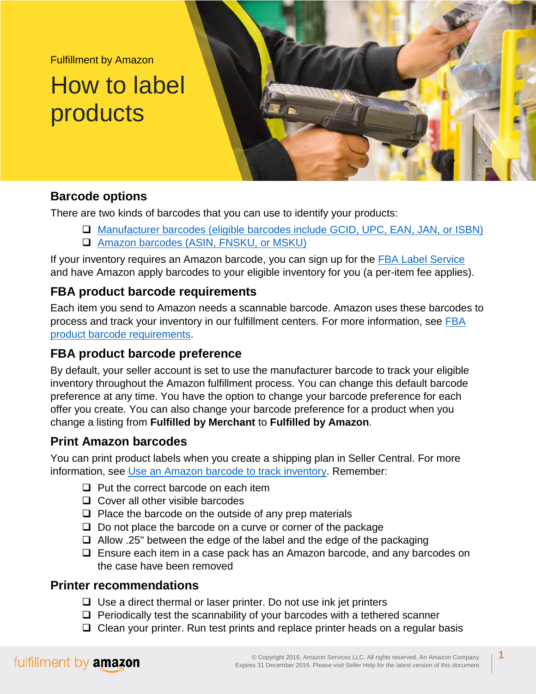Fulfillment by Amazon

# How to label products



## **Barcode options**

There are two kinds of barcodes that you can use to identify your products:

- [Manufacturer barcodes \(eligible barcodes include GCID, UPC, EAN, JAN, or ISBN\)](http://www.amazon.com/gp/help/customer/display.html?nodeId=200243180)
- [Amazon barcodes \(ASIN, FNSKU, or MSKU\)](http://www.amazon.com/gp/help/customer/display.html?nodeId=200243200)

If your inventory requires an Amazon barcode, you can sign up for the [FBA Label Service](http://www.amazon.com/gp/help/customer/display.html?nodeId=200685690) and have Amazon apply barcodes to your eligible inventory for you (a per-item fee applies).

## **FBA product barcode requirements**

Each item you send to Amazon needs a scannable barcode. Amazon uses these barcodes to process and track your inventory in our fulfillment centers. For more information, see [FBA](http://www.amazon.com/gp/help/customer/display.html?nodeId=201100970)  [product barcode requirements.](http://www.amazon.com/gp/help/customer/display.html?nodeId=201100970)

## **FBA product barcode preference**

By default, your seller account is set to use the manufacturer barcode to track your eligible inventory throughout the Amazon fulfillment process. You can change this default barcode preference at any time. You have the option to change your barcode preference for each offer you create. You can also change your barcode preference for a product when you change a listing from **Fulfilled by Merchant** to **Fulfilled by Amazon**.

## **Print Amazon barcodes**

You can print product labels when you create a shipping plan in Seller Central. For more information, see [Use an Amazon barcode to track inventory.](http://www.amazon.com/gp/help/customer/display.html?nodeId=200243200) Remember:

- $\Box$  Put the correct barcode on each item
- $\Box$  Cover all other visible barcodes
- $\Box$  Place the barcode on the outside of any prep materials
- $\Box$  Do not place the barcode on a curve or corner of the package
- $\Box$  Allow .25" between the edge of the label and the edge of the packaging
- $\Box$  Ensure each item in a case pack has an Amazon barcode, and any barcodes on the case have been removed

### **Printer recommendations**

- $\Box$  Use a direct thermal or laser printer. Do not use ink jet printers
- $\Box$  Periodically test the scannability of your barcodes with a tethered scanner
- $\Box$  Clean your printer. Run test prints and replace printer heads on a regular basis